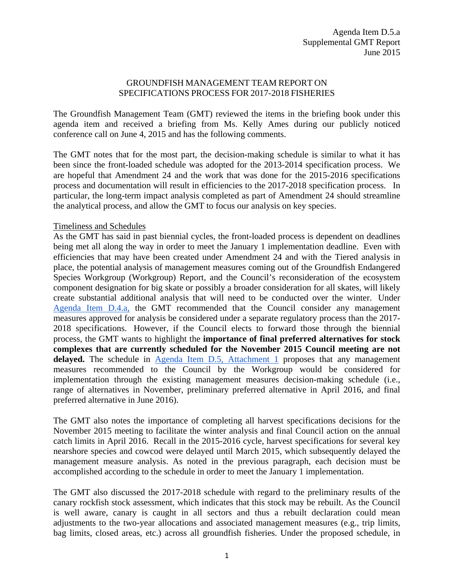## GROUNDFISH MANAGEMENT TEAM REPORT ON SPECIFICATIONS PROCESS FOR 2017-2018 FISHERIES

The Groundfish Management Team (GMT) reviewed the items in the briefing book under this agenda item and received a briefing from Ms. Kelly Ames during our publicly noticed conference call on June 4, 2015 and has the following comments.

The GMT notes that for the most part, the decision-making schedule is similar to what it has been since the front-loaded schedule was adopted for the 2013-2014 specification process. We are hopeful that Amendment 24 and the work that was done for the 2015-2016 specifications process and documentation will result in efficiencies to the 2017-2018 specification process. In particular, the long-term impact analysis completed as part of Amendment 24 should streamline the analytical process, and allow the GMT to focus our analysis on key species.

## Timeliness and Schedules

As the GMT has said in past biennial cycles, the front-loaded process is dependent on deadlines being met all along the way in order to meet the January 1 implementation deadline. Even with efficiencies that may have been created under Amendment 24 and with the Tiered analysis in place, the potential analysis of management measures coming out of the Groundfish Endangered Species Workgroup (Workgroup) Report, and the Council's reconsideration of the ecosystem component designation for big skate or possibly a broader consideration for all skates, will likely create substantial additional analysis that will need to be conducted over the winter. Under [Agenda Item D.4.a,](http://www.pcouncil.org/wp-content/uploads/2015/06/D4a_Sup_GMT_Rpt_JUN2015BB.pdf) the GMT recommended that the Council consider any management measures approved for analysis be considered under a separate regulatory process than the 2017- 2018 specifications. However, if the Council elects to forward those through the biennial process, the GMT wants to highlight the **importance of final preferred alternatives for stock complexes that are currently scheduled for the November 2015 Council meeting are not**  delayed. The schedule in [Agenda Item D.5, Attachment 1](http://www.pcouncil.org/wp-content/uploads/2015/05/D5_Att1_Schedule_JUN2015BB.pdf) proposes that any management measures recommended to the Council by the Workgroup would be considered for implementation through the existing management measures decision-making schedule (i.e., range of alternatives in November, preliminary preferred alternative in April 2016, and final preferred alternative in June 2016).

The GMT also notes the importance of completing all harvest specifications decisions for the November 2015 meeting to facilitate the winter analysis and final Council action on the annual catch limits in April 2016. Recall in the 2015-2016 cycle, harvest specifications for several key nearshore species and cowcod were delayed until March 2015, which subsequently delayed the management measure analysis. As noted in the previous paragraph, each decision must be accomplished according to the schedule in order to meet the January 1 implementation.

The GMT also discussed the 2017-2018 schedule with regard to the preliminary results of the canary rockfish stock assessment, which indicates that this stock may be rebuilt. As the Council is well aware, canary is caught in all sectors and thus a rebuilt declaration could mean adjustments to the two-year allocations and associated management measures (e.g., trip limits, bag limits, closed areas, etc.) across all groundfish fisheries. Under the proposed schedule, in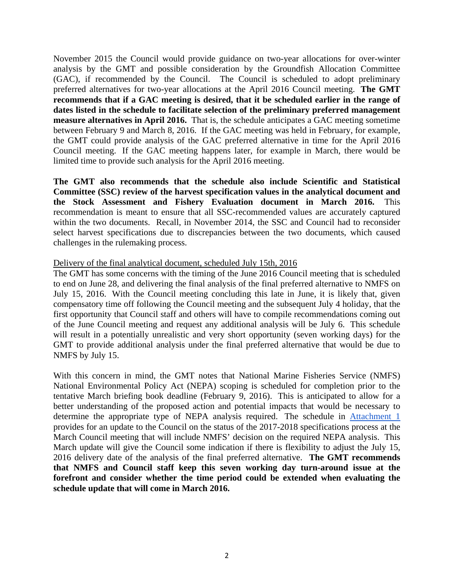November 2015 the Council would provide guidance on two-year allocations for over-winter analysis by the GMT and possible consideration by the Groundfish Allocation Committee (GAC), if recommended by the Council. The Council is scheduled to adopt preliminary preferred alternatives for two-year allocations at the April 2016 Council meeting. **The GMT recommends that if a GAC meeting is desired, that it be scheduled earlier in the range of dates listed in the schedule to facilitate selection of the preliminary preferred management measure alternatives in April 2016.** That is, the schedule anticipates a GAC meeting sometime between February 9 and March 8, 2016. If the GAC meeting was held in February, for example, the GMT could provide analysis of the GAC preferred alternative in time for the April 2016 Council meeting. If the GAC meeting happens later, for example in March, there would be limited time to provide such analysis for the April 2016 meeting.

**The GMT also recommends that the schedule also include Scientific and Statistical Committee (SSC) review of the harvest specification values in the analytical document and the Stock Assessment and Fishery Evaluation document in March 2016.** This recommendation is meant to ensure that all SSC-recommended values are accurately captured within the two documents. Recall, in November 2014, the SSC and Council had to reconsider select harvest specifications due to discrepancies between the two documents, which caused challenges in the rulemaking process.

## Delivery of the final analytical document, scheduled July 15th, 2016

The GMT has some concerns with the timing of the June 2016 Council meeting that is scheduled to end on June 28, and delivering the final analysis of the final preferred alternative to NMFS on July 15, 2016. With the Council meeting concluding this late in June, it is likely that, given compensatory time off following the Council meeting and the subsequent July 4 holiday, that the first opportunity that Council staff and others will have to compile recommendations coming out of the June Council meeting and request any additional analysis will be July 6. This schedule will result in a potentially unrealistic and very short opportunity (seven working days) for the GMT to provide additional analysis under the final preferred alternative that would be due to NMFS by July 15.

With this concern in mind, the GMT notes that National Marine Fisheries Service (NMFS) National Environmental Policy Act (NEPA) scoping is scheduled for completion prior to the tentative March briefing book deadline (February 9, 2016). This is anticipated to allow for a better understanding of the proposed action and potential impacts that would be necessary to determine the appropriate type of NEPA analysis required. The schedule in [Attachment 1](http://www.pcouncil.org/wp-content/uploads/2015/05/D5_Att1_Schedule_JUN2015BB.pdf) provides for an update to the Council on the status of the 2017-2018 specifications process at the March Council meeting that will include NMFS' decision on the required NEPA analysis. This March update will give the Council some indication if there is flexibility to adjust the July 15, 2016 delivery date of the analysis of the final preferred alternative. **The GMT recommends that NMFS and Council staff keep this seven working day turn-around issue at the forefront and consider whether the time period could be extended when evaluating the schedule update that will come in March 2016.**